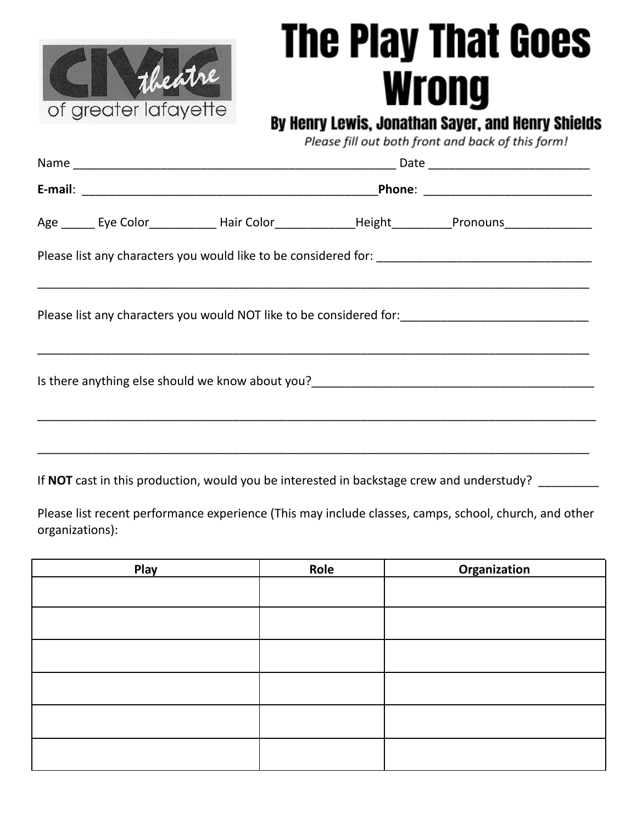

## **The Play That Goes Wrong**

## By Henry Lewis, Jonathan Sayer, and Henry Shields

Please fill out both front and back of this form!

|  |                                                                                           |  | Age _______ Eye Color_______________ Hair Color_________________________Pronouns___________________ |  |  |  |  |
|--|-------------------------------------------------------------------------------------------|--|-----------------------------------------------------------------------------------------------------|--|--|--|--|
|  |                                                                                           |  |                                                                                                     |  |  |  |  |
|  |                                                                                           |  |                                                                                                     |  |  |  |  |
|  |                                                                                           |  |                                                                                                     |  |  |  |  |
|  |                                                                                           |  |                                                                                                     |  |  |  |  |
|  | If NOT cast in this production, would you be interested in backstage crew and understudy? |  |                                                                                                     |  |  |  |  |

Please list recent performance experience (This may include classes, camps, school, church, and other organizations):

| Play | Role | Organization |
|------|------|--------------|
|      |      |              |
|      |      |              |
|      |      |              |
|      |      |              |
|      |      |              |
|      |      |              |